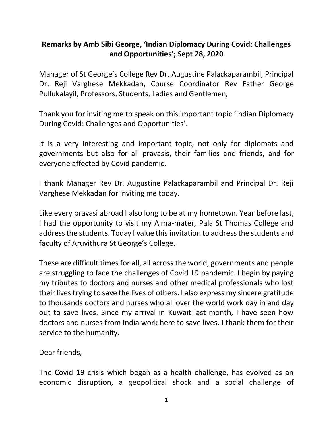## **Remarks by Amb Sibi George, 'Indian Diplomacy During Covid: Challenges and Opportunities'; Sept 28, 2020**

Manager of St George's College Rev Dr. Augustine Palackaparambil, Principal Dr. Reji Varghese Mekkadan, Course Coordinator Rev Father George Pullukalayil, Professors, Students, Ladies and Gentlemen,

Thank you for inviting me to speak on this important topic 'Indian Diplomacy During Covid: Challenges and Opportunities'.

It is a very interesting and important topic, not only for diplomats and governments but also for all pravasis, their families and friends, and for everyone affected by Covid pandemic.

I thank Manager Rev Dr. Augustine Palackaparambil and Principal Dr. Reji Varghese Mekkadan for inviting me today.

Like every pravasi abroad I also long to be at my hometown. Year before last, I had the opportunity to visit my Alma-mater, Pala St Thomas College and address the students. Today I value this invitation to address the students and faculty of Aruvithura St George's College.

These are difficult times for all, all across the world, governments and people are struggling to face the challenges of Covid 19 pandemic. I begin by paying my tributes to doctors and nurses and other medical professionals who lost their lives trying to save the lives of others. I also express my sincere gratitude to thousands doctors and nurses who all over the world work day in and day out to save lives. Since my arrival in Kuwait last month, I have seen how doctors and nurses from India work here to save lives. I thank them for their service to the humanity.

Dear friends,

The Covid 19 crisis which began as a health challenge, has evolved as an economic disruption, a geopolitical shock and a social challenge of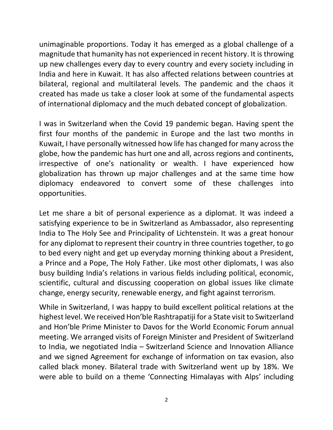unimaginable proportions. Today it has emerged as a global challenge of a magnitude that humanity has not experienced in recent history. It is throwing up new challenges every day to every country and every society including in India and here in Kuwait. It has also affected relations between countries at bilateral, regional and multilateral levels. The pandemic and the chaos it created has made us take a closer look at some of the fundamental aspects of international diplomacy and the much debated concept of globalization.

I was in Switzerland when the Covid 19 pandemic began. Having spent the first four months of the pandemic in Europe and the last two months in Kuwait, I have personally witnessed how life has changed for many across the globe, how the pandemic has hurt one and all, across regions and continents, irrespective of one's nationality or wealth. I have experienced how globalization has thrown up major challenges and at the same time how diplomacy endeavored to convert some of these challenges into opportunities.

Let me share a bit of personal experience as a diplomat. It was indeed a satisfying experience to be in Switzerland as Ambassador, also representing India to The Holy See and Principality of Lichtenstein. It was a great honour for any diplomat to represent their country in three countries together, to go to bed every night and get up everyday morning thinking about a President, a Prince and a Pope, The Holy Father. Like most other diplomats, I was also busy building India's relations in various fields including political, economic, scientific, cultural and discussing cooperation on global issues like climate change, energy security, renewable energy, and fight against terrorism.

While in Switzerland, I was happy to build excellent political relations at the highest level. We received Hon'ble Rashtrapatiji for a State visit to Switzerland and Hon'ble Prime Minister to Davos for the World Economic Forum annual meeting. We arranged visits of Foreign Minister and President of Switzerland to India, we negotiated India – Switzerland Science and Innovation Alliance and we signed Agreement for exchange of information on tax evasion, also called black money. Bilateral trade with Switzerland went up by 18%. We were able to build on a theme 'Connecting Himalayas with Alps' including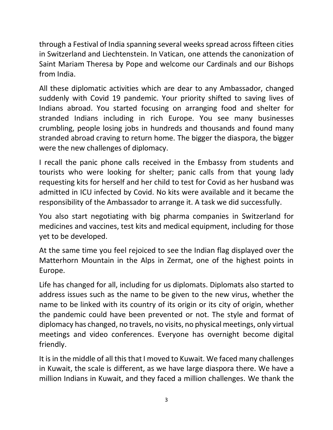through a Festival of India spanning several weeks spread across fifteen cities in Switzerland and Liechtenstein. In Vatican, one attends the canonization of Saint Mariam Theresa by Pope and welcome our Cardinals and our Bishops from India.

All these diplomatic activities which are dear to any Ambassador, changed suddenly with Covid 19 pandemic. Your priority shifted to saving lives of Indians abroad. You started focusing on arranging food and shelter for stranded Indians including in rich Europe. You see many businesses crumbling, people losing jobs in hundreds and thousands and found many stranded abroad craving to return home. The bigger the diaspora, the bigger were the new challenges of diplomacy.

I recall the panic phone calls received in the Embassy from students and tourists who were looking for shelter; panic calls from that young lady requesting kits for herself and her child to test for Covid as her husband was admitted in ICU infected by Covid. No kits were available and it became the responsibility of the Ambassador to arrange it. A task we did successfully.

You also start negotiating with big pharma companies in Switzerland for medicines and vaccines, test kits and medical equipment, including for those yet to be developed.

At the same time you feel rejoiced to see the Indian flag displayed over the Matterhorn Mountain in the Alps in Zermat, one of the highest points in Europe.

Life has changed for all, including for us diplomats. Diplomats also started to address issues such as the name to be given to the new virus, whether the name to be linked with its country of its origin or its city of origin, whether the pandemic could have been prevented or not. The style and format of diplomacy has changed, no travels, no visits, no physical meetings, only virtual meetings and video conferences. Everyone has overnight become digital friendly.

It is in the middle of all this that I moved to Kuwait. We faced many challenges in Kuwait, the scale is different, as we have large diaspora there. We have a million Indians in Kuwait, and they faced a million challenges. We thank the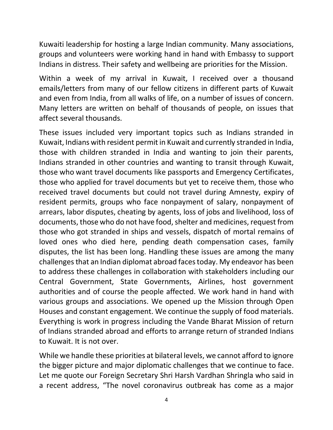Kuwaiti leadership for hosting a large Indian community. Many associations, groups and volunteers were working hand in hand with Embassy to support Indians in distress. Their safety and wellbeing are priorities for the Mission.

Within a week of my arrival in Kuwait, I received over a thousand emails/letters from many of our fellow citizens in different parts of Kuwait and even from India, from all walks of life, on a number of issues of concern. Many letters are written on behalf of thousands of people, on issues that affect several thousands.

These issues included very important topics such as Indians stranded in Kuwait, Indians with resident permit in Kuwait and currently stranded in India, those with children stranded in India and wanting to join their parents, Indians stranded in other countries and wanting to transit through Kuwait, those who want travel documents like passports and Emergency Certificates, those who applied for travel documents but yet to receive them, those who received travel documents but could not travel during Amnesty, expiry of resident permits, groups who face nonpayment of salary, nonpayment of arrears, labor disputes, cheating by agents, loss of jobs and livelihood, loss of documents, those who do not have food, shelter and medicines, request from those who got stranded in ships and vessels, dispatch of mortal remains of loved ones who died here, pending death compensation cases, family disputes, the list has been long. Handling these issues are among the many challengesthat an Indian diplomat abroad facestoday. My endeavor has been to address these challenges in collaboration with stakeholders including our Central Government, State Governments, Airlines, host government authorities and of course the people affected. We work hand in hand with various groups and associations. We opened up the Mission through Open Houses and constant engagement. We continue the supply of food materials. Everything is work in progress including the Vande Bharat Mission of return of Indians stranded abroad and efforts to arrange return of stranded Indians to Kuwait. It is not over.

While we handle these priorities at bilateral levels, we cannot afford to ignore the bigger picture and major diplomatic challenges that we continue to face. Let me quote our Foreign Secretary Shri Harsh Vardhan Shringla who said in a recent address, "The novel coronavirus outbreak has come as a major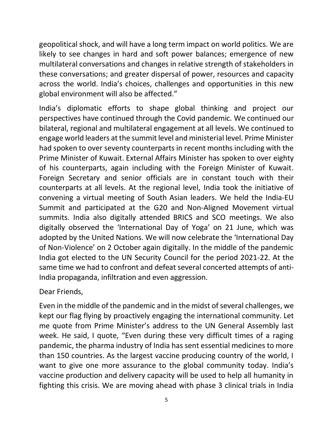geopolitical shock, and will have a long term impact on world politics. We are likely to see changes in hard and soft power balances; emergence of new multilateral conversations and changes in relative strength of stakeholders in these conversations; and greater dispersal of power, resources and capacity across the world. India's choices, challenges and opportunities in this new global environment will also be affected."

India's diplomatic efforts to shape global thinking and project our perspectives have continued through the Covid pandemic. We continued our bilateral, regional and multilateral engagement at all levels. We continued to engage world leaders at the summit level and ministerial level. Prime Minister had spoken to over seventy counterparts in recent months including with the Prime Minister of Kuwait. External Affairs Minister has spoken to over eighty of his counterparts, again including with the Foreign Minister of Kuwait. Foreign Secretary and senior officials are in constant touch with their counterparts at all levels. At the regional level, India took the initiative of convening a virtual meeting of South Asian leaders. We held the India-EU Summit and participated at the G20 and Non-Aligned Movement virtual summits. India also digitally attended BRICS and SCO meetings. We also digitally observed the 'International Day of Yoga' on 21 June, which was adopted by the United Nations. We will now celebrate the 'International Day of Non-Violence' on 2 October again digitally. In the middle of the pandemic India got elected to the UN Security Council for the period 2021-22. At the same time we had to confront and defeat several concerted attempts of anti-India propaganda, infiltration and even aggression.

## Dear Friends,

Even in the middle of the pandemic and in the midst of several challenges, we kept our flag flying by proactively engaging the international community. Let me quote from Prime Minister's address to the UN General Assembly last week. He said, I quote, "Even during these very difficult times of a raging pandemic, the pharma industry of India has sent essential medicines to more than 150 countries. As the largest vaccine producing country of the world, I want to give one more assurance to the global community today. India's vaccine production and delivery capacity will be used to help all humanity in fighting this crisis. We are moving ahead with phase 3 clinical trials in India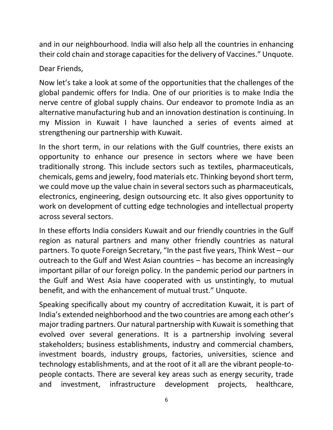and in our neighbourhood. India will also help all the countries in enhancing their cold chain and storage capacities for the delivery of Vaccines." Unquote.

Dear Friends,

Now let's take a look at some of the opportunities that the challenges of the global pandemic offers for India. One of our priorities is to make India the nerve centre of global supply chains. Our endeavor to promote India as an alternative manufacturing hub and an innovation destination is continuing. In my Mission in Kuwait I have launched a series of events aimed at strengthening our partnership with Kuwait.

In the short term, in our relations with the Gulf countries, there exists an opportunity to enhance our presence in sectors where we have been traditionally strong. This include sectors such as textiles, pharmaceuticals, chemicals, gems and jewelry, food materials etc. Thinking beyond short term, we could move up the value chain in several sectors such as pharmaceuticals, electronics, engineering, design outsourcing etc. It also gives opportunity to work on development of cutting edge technologies and intellectual property across several sectors.

In these efforts India considers Kuwait and our friendly countries in the Gulf region as natural partners and many other friendly countries as natural partners. To quote Foreign Secretary, "In the past five years, Think West – our outreach to the Gulf and West Asian countries – has become an increasingly important pillar of our foreign policy. In the pandemic period our partners in the Gulf and West Asia have cooperated with us unstintingly, to mutual benefit, and with the enhancement of mutual trust." Unquote.

Speaking specifically about my country of accreditation Kuwait, it is part of India's extended neighborhood and the two countries are among each other's major trading partners. Our natural partnership with Kuwait is something that evolved over several generations. It is a partnership involving several stakeholders; business establishments, industry and commercial chambers, investment boards, industry groups, factories, universities, science and technology establishments, and at the root of it all are the vibrant people-topeople contacts. There are several key areas such as energy security, trade and investment, infrastructure development projects, healthcare,